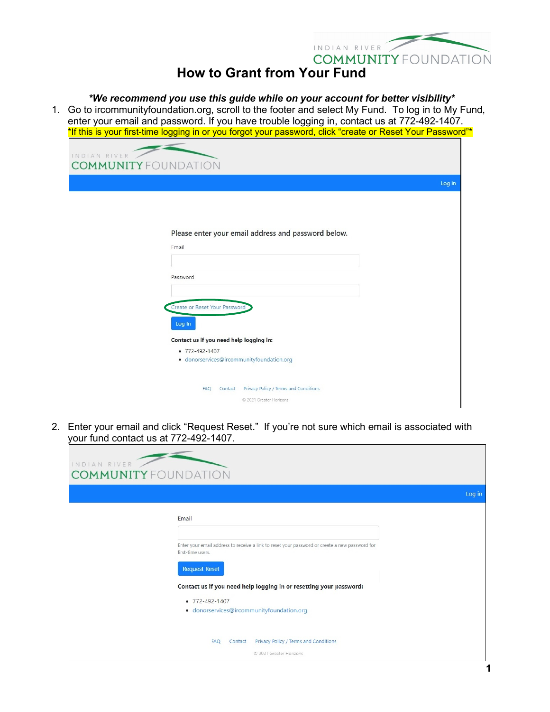

## **How to Grant from Your Fund**

## *\*We recommend you use this guide while on your account for better visibility\**

1. Go to ircommunityfoundation.org, scroll to the footer and select My Fund. To log in to My Fund, enter your email and password. If you have trouble logging in, contact us at 772-492-1407. \*If this is your first-time logging in or you forgot your password, click "create or Reset Your Password"\*

| INDIAN RIVER<br><b>COMMUNITY FOUNDATION</b>                                                                                                       |        |
|---------------------------------------------------------------------------------------------------------------------------------------------------|--------|
|                                                                                                                                                   | Log in |
| Please enter your email address and password below.<br>Email<br>Password                                                                          |        |
| Create or Reset Your Password<br>Log In<br>Contact us if you need help logging in:<br>• 772-492-1407<br>· donorservices@ircommunityfoundation.org |        |
| Contact Privacy Policy / Terms and Conditions<br>FAQ<br>© 2021 Greater Horizons                                                                   |        |

2. Enter your email and click "Request Reset." If you're not sure which email is associated with your fund contact us at 772-492-1407.

| INDIAN RIVER<br><b>COMMUNITY FOUNDATION</b>                                                                         |        |
|---------------------------------------------------------------------------------------------------------------------|--------|
|                                                                                                                     | Log in |
| Email                                                                                                               |        |
| Enter your email address to receive a link to reset your password or create a new password for<br>first-time users. |        |
| <b>Request Reset</b>                                                                                                |        |
| Contact us if you need help logging in or resetting your password:                                                  |        |
| $-772 - 492 - 1407$<br>· donorservices@ircommunityfoundation.org                                                    |        |
| Privacy Policy / Terms and Conditions<br><b>FAQ</b><br>Contact                                                      |        |
| © 2021 Greater Horizons                                                                                             |        |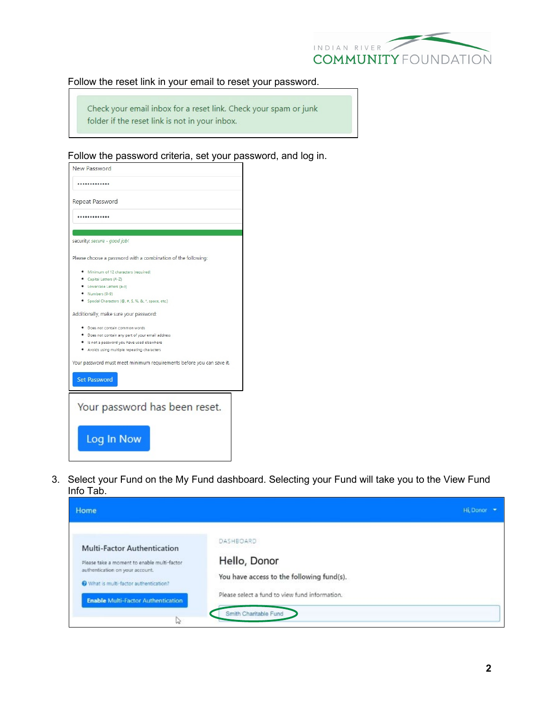

## Follow the reset link in your email to reset your password.

Check your email inbox for a reset link. Check your spam or junk folder if the reset link is not in your inbox.

Follow the password criteria, set your password, and log in.

| New Password                                                         |
|----------------------------------------------------------------------|
|                                                                      |
| Repeat Password                                                      |
|                                                                      |
| security: secure - good job!                                         |
|                                                                      |
| Please choose a password with a combination of the following:        |
| · Minimum of 12 characters (required)                                |
| Capital Letters (A-Z)                                                |
| • Lowercase Letters (a-z)                                            |
| Numbers (0-9)                                                        |
| Special Characters (@, #, \$, %, &, *, space, etc.)                  |
| Additionally, make sure your password:                               |
| Does not contain common words                                        |
| · Does not contain any part of your email address                    |
| Is not a password you have used elsewhere                            |
| Avoids using multiple repeating characters                           |
| Your password must meet minimum requirements before you can save it. |
| <b>Set Password</b>                                                  |
| Your password has been reset.                                        |
| Log In Now                                                           |

3. Select your Fund on the My Fund dashboard. Selecting your Fund will take you to the View Fund Info Tab.

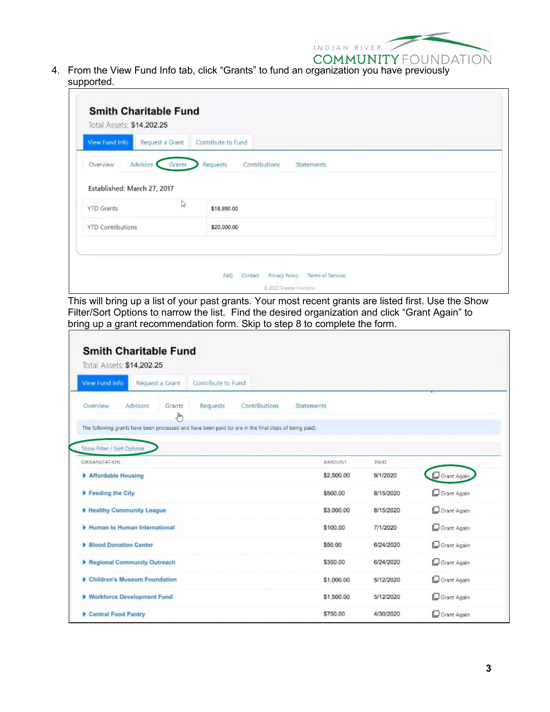

4. From the View Fund Info tab, click "Grants" to fund an organization you have previously supported.

| View Fund Info              | Request a Grant | Contribute to Fund                             |  |
|-----------------------------|-----------------|------------------------------------------------|--|
| Advisors<br>Overview        | Grants          | Contributions<br>Requests<br><b>Statements</b> |  |
| Established: March 27, 2017 |                 |                                                |  |
| <b>YTD Grants</b>           | D               | \$18,950.00                                    |  |
| <b>YTD Contributions</b>    |                 | \$20,000.00                                    |  |
|                             |                 |                                                |  |

This will bring up a list of your past grants. Your most recent grants are listed first. Use the Show Filter/Sort Options to narrow the list. Find the desired organization and click "Grant Again" to bring up a grant recommendation form. Skip to step 8 to complete the form.

| <b>View Fund Info</b><br>Request a Grant                                                               | Contribute to Fund |               |                   |           |             |
|--------------------------------------------------------------------------------------------------------|--------------------|---------------|-------------------|-----------|-------------|
| Overview<br>Advisors<br>Grants<br>$\mathcal{F}_{\mu\nu}$                                               | Requests           | Contributions | <b>Statements</b> |           |             |
| The following grants have been processed and have been paid (or are in the final steps of being paid). |                    |               |                   |           |             |
| Show Filter / Sort Options                                                                             |                    |               |                   |           |             |
| ORGANIZATION                                                                                           |                    |               | AMOUNT            | PAID      |             |
| Affordable Housing                                                                                     |                    |               | \$2,500.00        | 9/1/2020  | Grant Agair |
| Feeding the City                                                                                       |                    |               | \$500.00          | 8/15/2020 | Grant Again |
| Healthy Community League                                                                               |                    |               | \$3,000.00        | 8/15/2020 | Grant Again |
| Human to Human International                                                                           |                    |               | \$100.00          | 7/1/2020  | Grant Again |
| <b>Blood Donation Center</b>                                                                           |                    |               | \$50.00           | 6/24/2020 | Grant Again |
| Regional Community Outreach                                                                            |                    |               | \$350.00          | 6/24/2020 | Grant Again |
| Children's Museum Foundation                                                                           |                    |               | \$1,000.00        | 5/12/2020 | Grant Again |
| ▶ Workforce Development Fund                                                                           |                    |               | \$1,500.00        | 5/12/2020 | Grant Again |
| Central Food Pantry                                                                                    |                    |               | \$750.00          | 4/30/2020 | Grant Again |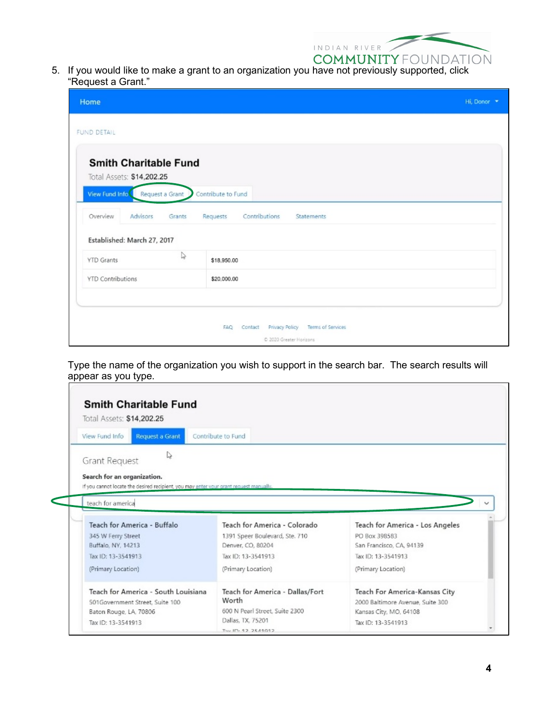

5. If you would like to make a grant to an organization you have not previously supported, click "Request a Grant."

| Home                                                                                                                                                            |                                                                                         | Hi, Donor * |
|-----------------------------------------------------------------------------------------------------------------------------------------------------------------|-----------------------------------------------------------------------------------------|-------------|
| FUND DETAIL                                                                                                                                                     |                                                                                         |             |
| <b>Smith Charitable Fund</b><br>Total Assets: \$14,202.25<br>View Fund Info<br>Request a Grant<br>Advisors<br>Overview<br>Grants<br>Established: March 27, 2017 | Contribute to Fund<br>Contributions<br>Requests<br><b>Statements</b>                    |             |
| P.<br><b>YTD Grants</b>                                                                                                                                         | \$18,950.00                                                                             |             |
| <b>YTD Contributions</b>                                                                                                                                        | \$20,000.00                                                                             |             |
|                                                                                                                                                                 | Privacy Policy<br>Terms of Services<br><b>FAQ</b><br>Contact<br>C 2020 Greater Horizons |             |

Type the name of the organization you wish to support in the search bar. The search results will appear as you type.

| Request a Grant<br>View Fund Info                                                                                                                                                             | Contribute to Fund              |                                              |
|-----------------------------------------------------------------------------------------------------------------------------------------------------------------------------------------------|---------------------------------|----------------------------------------------|
| ▷                                                                                                                                                                                             |                                 |                                              |
| Grant Request                                                                                                                                                                                 |                                 |                                              |
| Search for an organization.                                                                                                                                                                   |                                 |                                              |
| If you cannot locate the desired recipient, you may enter your grant request manually.                                                                                                        |                                 |                                              |
| teach for americal                                                                                                                                                                            |                                 |                                              |
|                                                                                                                                                                                               |                                 |                                              |
|                                                                                                                                                                                               |                                 |                                              |
|                                                                                                                                                                                               | Teach for America - Colorado    | Teach for America - Los Angeles              |
|                                                                                                                                                                                               | 1391 Speer Boulevard, Ste. 710  | PO Box 398583                                |
|                                                                                                                                                                                               | Denver, CO, 80204               | San Francisco, CA, 94139                     |
|                                                                                                                                                                                               | Tax ID: 13-3541913              | Tax ID: 13-3541913                           |
|                                                                                                                                                                                               | (Primary Location)              | (Primary Location)                           |
|                                                                                                                                                                                               | Teach for America - Dallas/Fort | Teach For America-Kansas City                |
|                                                                                                                                                                                               | Worth                           | 2000 Baltimore Avenue, Suite 300             |
| Teach for America - Buffalo<br>345 W Ferry Street<br>Buffalo, NY, 14213<br>Tax ID: 13-3541913<br>(Primary Location)<br>Teach for America - South Louisiana<br>501Government Street, Suite 100 | 600 N Pearl Street, Suite 2300  |                                              |
| Baton Rouge, LA, 70806<br>Tax ID: 13-3541913                                                                                                                                                  | Dallas, TX, 75201               | Kansas City, MO, 64108<br>Tax ID: 13-3541913 |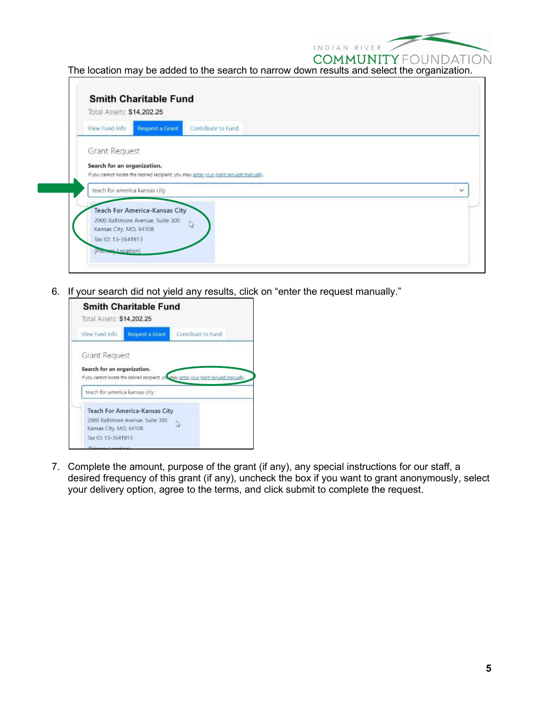

The location may be added to the search to narrow down results and select the organization.

| View Fund Info                | Request a Grant                  | Contribute to Fund                                                                     |  |
|-------------------------------|----------------------------------|----------------------------------------------------------------------------------------|--|
|                               |                                  |                                                                                        |  |
| <b>Grant Request</b>          |                                  |                                                                                        |  |
| Search for an organization.   |                                  |                                                                                        |  |
|                               |                                  | If you cannot locate the desired recipient, you may enter your grant request manually. |  |
| teach for america kansas city |                                  |                                                                                        |  |
|                               |                                  |                                                                                        |  |
|                               |                                  |                                                                                        |  |
|                               | Teach For America-Kansas City    |                                                                                        |  |
|                               | 2000 Baltimore Avenue, Suite 300 |                                                                                        |  |
| Kansas City, MO, 64108        |                                  | $\mathbb{Q}$                                                                           |  |

6. If your search did not yield any results, click on "enter the request manually."



7. Complete the amount, purpose of the grant (if any), any special instructions for our staff, a desired frequency of this grant (if any), uncheck the box if you want to grant anonymously, select your delivery option, agree to the terms, and click submit to complete the request.